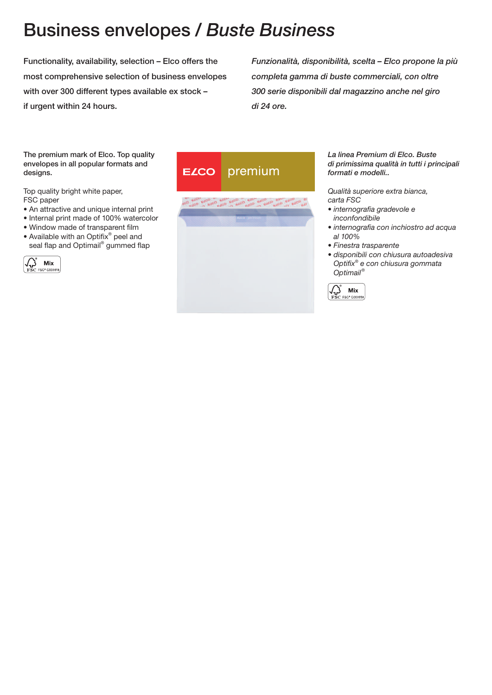# Business envelopes / *Buste Business*

Functionality, availability, selection – Elco offers the most comprehensive selection of business envelopes with over 300 different types available ex stock – if urgent within 24 hours.

*Funzionalità, disponibilità, scelta – Elco propone la più completa gamma di buste commerciali, con oltre 300 serie disponibili dal magazzino anche nel giro di 24 ore.*

The premium mark of Elco. Top quality envelopes in all popular formats and designs.

Top quality bright white paper, FSC paper

- An attractive and unique internal print
- Internal print made of 100% watercolor
- Window made of transparent film
- Available with an Optifix® peel and seal flap and Optimail<sup>®</sup> gummed flap







*La linea Premium di Elco. Buste di primissima qualità in tutti i principali formati e modelli..*

*Qualità superiore extra bianca, carta FSC*

- *internografia gradevole e inconfondibile*
- *internografia con inchiostro ad acqua al 100%*
- *Finestra trasparente*
- *disponibili con chiusura autoadesiva Optifix*® *e con chiusura gommata Optimail*®

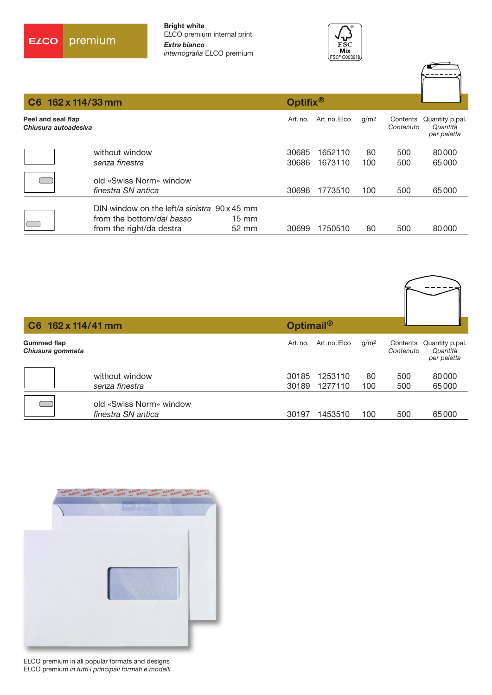



| C6 162 x 114/33 mm                         |                                                                                                              |                          | Optifix <sup>®</sup> |                    |                  |                       |                                            |
|--------------------------------------------|--------------------------------------------------------------------------------------------------------------|--------------------------|----------------------|--------------------|------------------|-----------------------|--------------------------------------------|
| Peel and seal flap<br>Chiusura autoadesiva |                                                                                                              |                          | Art. no.             | Art. no. Elco      | g/m <sup>2</sup> | Contents<br>Contenuto | Quantity p.pal.<br>Quantità<br>per paletta |
|                                            | without window<br>senza finestra                                                                             |                          | 30685<br>30686       | 1652110<br>1673110 | 80<br>100        | 500<br>500            | 80000<br>65000                             |
|                                            | old «Swiss Norm» window<br>finestra SN antica                                                                |                          | 30696                | 1773510            | 100              | 500                   | 65000                                      |
|                                            | DIN window on the left/a sinistra $90 \times 45$ mm<br>from the bottom/dal basso<br>from the right/da destra | $15 \text{ mm}$<br>52 mm | 30699                | 1750510            | 80               | 500                   | 80000                                      |

| C6 162 x 114/41 mm                     |                                               | Optimail <sup>®</sup> |               |                  |                       |                                            |
|----------------------------------------|-----------------------------------------------|-----------------------|---------------|------------------|-----------------------|--------------------------------------------|
| <b>Gummed flap</b><br>Chiusura gommata |                                               | Art. no.              | Art. no. Elco | g/m <sup>2</sup> | Contents<br>Contenuto | Quantity p.pal.<br>Quantità<br>per paletta |
|                                        | without window                                | 30185                 | 1253110       | 80               | 500                   | 80000                                      |
|                                        | senza finestra                                | 30189                 | 1277110       | 100              | 500                   | 65000                                      |
|                                        | old «Swiss Norm» window<br>finestra SN antica | 30197                 | 1453510       | 100              | 500                   | 65000                                      |



E*L*CO premium in all popular formats and designs E*L*CO premium *in tutti i principali formati e modelli*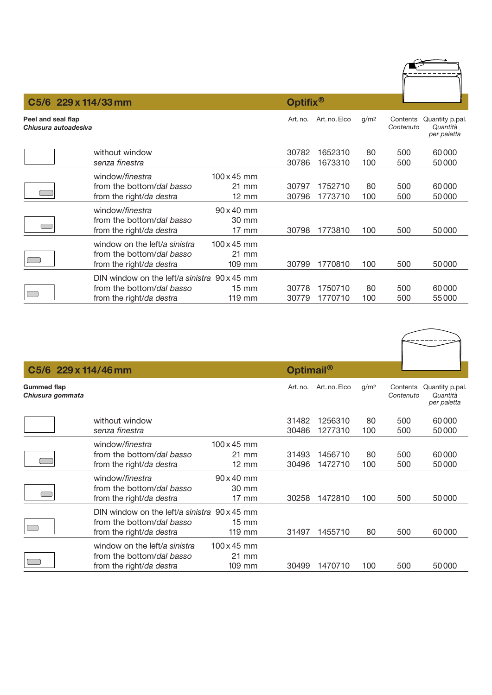|                                            | C5/6 229 x 114/33 mm                                                                                  |                                                  | Optifix <sup>®</sup> |                    |                  |            |                                                     |
|--------------------------------------------|-------------------------------------------------------------------------------------------------------|--------------------------------------------------|----------------------|--------------------|------------------|------------|-----------------------------------------------------|
| Peel and seal flap<br>Chiusura autoadesiva |                                                                                                       |                                                  | Art. no.             | Art. no. Elco      | g/m <sup>2</sup> | Contenuto  | Contents Quantity p.pal.<br>Quantità<br>per paletta |
|                                            | without window<br>senza finestra                                                                      |                                                  | 30782<br>30786       | 1652310<br>1673310 | 80<br>100        | 500<br>500 | 60000<br>50000                                      |
|                                            | window/finestra<br>from the bottom/dal basso<br>from the right/da destra                              | $100 \times 45$ mm<br>21 mm<br>$12 \, \text{mm}$ | 30797<br>30796       | 1752710<br>1773710 | 80<br>100        | 500<br>500 | 60000<br>50000                                      |
|                                            | window/finestra<br>from the bottom/dal basso<br>from the right/da destra                              | $90 \times 40$ mm<br>30 mm<br>$17$ mm            | 30798                | 1773810            | 100              | 500        | 50000                                               |
|                                            | window on the left/a sinistra<br>from the bottom/dal basso<br>from the right/da destra                | $100 \times 45$ mm<br>21 mm<br>$109$ mm          | 30799                | 1770810            | 100              | 500        | 50000                                               |
|                                            | DIN window on the left/a sinistra 90 x 45 mm<br>from the bottom/dal basso<br>from the right/da destra | $15 \text{ mm}$<br>119 mm                        | 30778<br>30779       | 1750710<br>1770710 | 80<br>100        | 500<br>500 | 60000<br>55000                                      |

| C5/6 229 x 114/46 mm                         |                    | Optimail <sup>®</sup> |               |                  |                       |                                            |
|----------------------------------------------|--------------------|-----------------------|---------------|------------------|-----------------------|--------------------------------------------|
| <b>Gummed flap</b><br>Chiusura gommata       |                    | Art. no.              | Art. no. Elco | q/m <sup>2</sup> | Contents<br>Contenuto | Quantity p.pal.<br>Quantità<br>per paletta |
| without window                               |                    | 31482                 | 1256310       | 80               | 500                   | 60000                                      |
| senza finestra                               |                    | 30486                 | 1277310       | 100              | 500                   | 50000                                      |
| window/finestra                              | $100 \times 45$ mm |                       |               |                  |                       |                                            |
| from the bottom/dal basso                    | 21 mm              | 31493                 | 1456710       | 80               | 500                   | 60000                                      |
| from the right/da destra                     | $12 \, \text{mm}$  | 30496                 | 1472710       | 100              | 500                   | 50000                                      |
| window/finestra                              | $90 \times 40$ mm  |                       |               |                  |                       |                                            |
| from the bottom/dal basso                    | 30 mm              |                       |               |                  |                       |                                            |
| from the right/da destra                     | $17 \, \text{mm}$  | 30258                 | 1472810       | 100              | 500                   | 50000                                      |
| DIN window on the left/a sinistra 90 x 45 mm |                    |                       |               |                  |                       |                                            |
| from the bottom/dal basso                    | $15 \text{ mm}$    |                       |               |                  |                       |                                            |
| from the right/da destra                     | $119$ mm           | 31497                 | 1455710       | 80               | 500                   | 60000                                      |
| window on the left/a sinistra                | $100 \times 45$ mm |                       |               |                  |                       |                                            |
| from the bottom/dal basso                    | 21 mm              |                       |               |                  |                       |                                            |
| from the right/da destra                     | 109 mm             | 30499                 | 1470710       | 100              | 500                   | 50000                                      |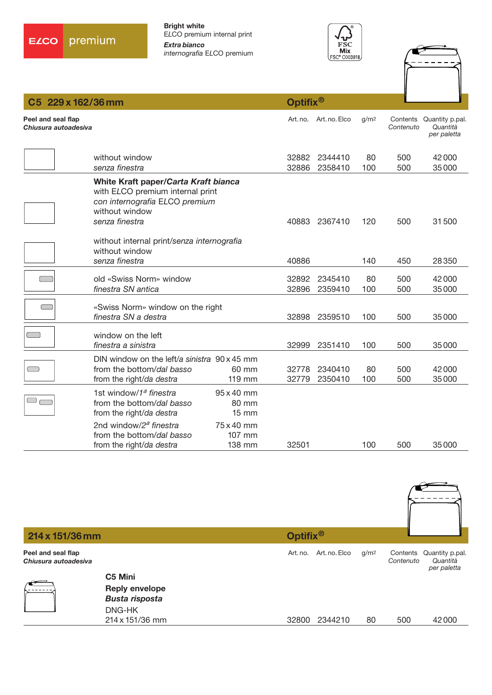





| C5 229 x 162/36 mm                         |                                                                                                                                                |                                          | Optifix <sup>®</sup> |                        |                  |            |                                                     |  |
|--------------------------------------------|------------------------------------------------------------------------------------------------------------------------------------------------|------------------------------------------|----------------------|------------------------|------------------|------------|-----------------------------------------------------|--|
| Peel and seal flap<br>Chiusura autoadesiva |                                                                                                                                                |                                          |                      | Art. no. Art. no. Elco | g/m <sup>2</sup> | Contenuto  | Contents Quantity p.pal.<br>Quantità<br>per paletta |  |
|                                            | without window<br>senza finestra                                                                                                               |                                          | 32882<br>32886       | 2344410<br>2358410     | 80<br>100        | 500<br>500 | 42000<br>35000                                      |  |
|                                            | White Kraft paper/Carta Kraft bianca<br>with ELCO premium internal print<br>con internografia ELCO premium<br>without window<br>senza finestra |                                          | 40883                | 2367410                | 120              | 500        | 31500                                               |  |
|                                            | without internal print/senza internografia<br>without window<br>senza finestra                                                                 |                                          | 40886                |                        | 140              | 450        | 28350                                               |  |
|                                            | old «Swiss Norm» window<br>finestra SN antica                                                                                                  |                                          | 32892<br>32896       | 2345410<br>2359410     | 80<br>100        | 500<br>500 | 42000<br>35000                                      |  |
|                                            | «Swiss Norm» window on the right<br>finestra SN a destra                                                                                       |                                          | 32898                | 2359510                | 100              | 500        | 35000                                               |  |
|                                            | window on the left<br>finestra a sinistra                                                                                                      |                                          | 32999                | 2351410                | 100              | 500        | 35000                                               |  |
|                                            | DIN window on the left/a sinistra 90 x 45 mm<br>from the bottom/dal basso<br>from the right/da destra                                          | 60 mm<br>119 mm                          | 32778<br>32779       | 2340410<br>2350410     | 80<br>100        | 500<br>500 | 42000<br>35000                                      |  |
| $\qquad \qquad \Box$                       | 1st window/1 <sup>a</sup> finestra<br>from the bottom/dal basso<br>from the right/da destra                                                    | 95 x 40 mm<br>80 mm<br>$15 \, \text{mm}$ |                      |                        |                  |            |                                                     |  |
|                                            | 2nd window/2 <sup>a</sup> finestra<br>from the bottom/dal basso<br>from the right/da destra                                                    | 75 x 40 mm<br>107 mm<br>138 mm           | 32501                |                        | 100              | 500        | 35000                                               |  |

| 214 x 151/36 mm                            |                                                | Optifix <sup>®</sup> |                        |                  |                       |                                            |
|--------------------------------------------|------------------------------------------------|----------------------|------------------------|------------------|-----------------------|--------------------------------------------|
| Peel and seal flap<br>Chiusura autoadesiva |                                                |                      | Art. no. Art. no. Elco | g/m <sup>2</sup> | Contents<br>Contenuto | Quantity p.pal.<br>Quantità<br>per paletta |
|                                            | C5 Mini                                        |                      |                        |                  |                       |                                            |
|                                            | <b>Reply envelope</b><br><b>Busta risposta</b> |                      |                        |                  |                       |                                            |
|                                            | DNG-HK<br>214 x 151/36 mm                      | 32800                | 2344210                | 80               | 500                   | 42000                                      |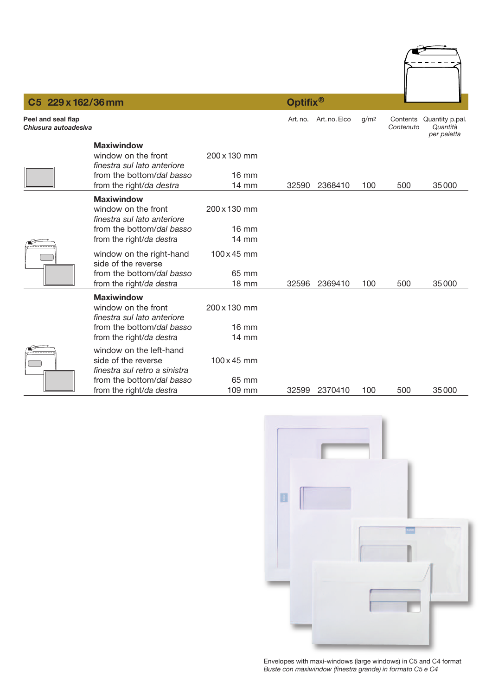

## **C5 229 x 162/36 mm Optifix®**

| Peel and seal flap<br>Chiusura autoadesiva |                                                                                                                                          |                                                    | Art. no. | Art. no. Elco | g/m <sup>2</sup> | Contenuto | Contents Quantity p.pal.<br>Quantità<br>per paletta |
|--------------------------------------------|------------------------------------------------------------------------------------------------------------------------------------------|----------------------------------------------------|----------|---------------|------------------|-----------|-----------------------------------------------------|
|                                            | <b>Maxiwindow</b><br>window on the front<br>finestra sul lato anteriore<br>from the bottom/dal basso<br>from the right/da destra         | 200 x 130 mm<br>$16 \text{ mm}$<br><b>14 mm</b>    | 32590    | 2368410       | 100              | 500       | 35000                                               |
|                                            | <b>Maxiwindow</b><br>window on the front<br>finestra sul lato anteriore<br>from the bottom/dal basso<br>from the right/da destra         | 200 x 130 mm<br>$16 \text{ mm}$<br>$14 \text{ mm}$ |          |               |                  |           |                                                     |
|                                            | window on the right-hand<br>side of the reverse<br>from the bottom/dal basso<br>from the right/da destra                                 | 100 x 45 mm<br>65 mm<br><b>18 mm</b>               | 32596    | 2369410       | 100              | 500       | 35000                                               |
|                                            | <b>Maxiwindow</b><br>window on the front<br>finestra sul lato anteriore<br>from the bottom/dal basso<br>from the right/da destra         | 200 x 130 mm<br>$16 \text{ mm}$<br>14 mm           |          |               |                  |           |                                                     |
|                                            | window on the left-hand<br>side of the reverse<br>finestra sul retro a sinistra<br>from the bottom/dal basso<br>from the right/da destra | $100 \times 45$ mm<br>65 mm<br>109 mm              | 32599    | 2370410       | 100              | 500       | 35000                                               |



Envelopes with maxi-windows (large windows) in C5 and C4 format *Buste con maxiwindow (finestra grande) in formato C5 e C4*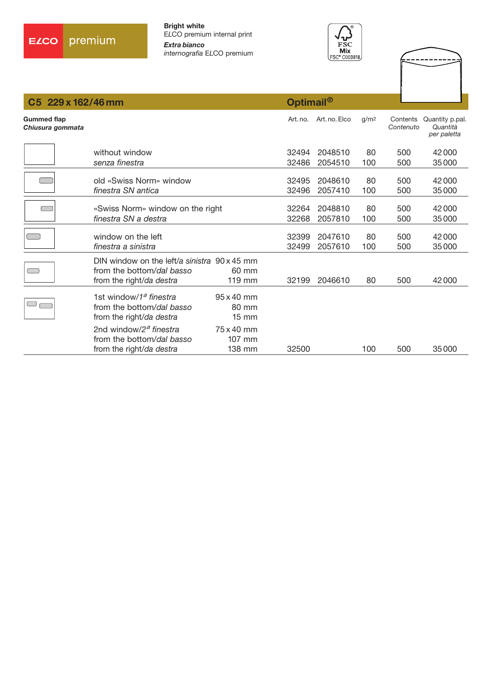



--------

---

| 229 x 162/46 mm<br>C5.                 |                                                                                                              | Optimail <sup>®</sup>                           |                |                    |                  |                       |                                            |
|----------------------------------------|--------------------------------------------------------------------------------------------------------------|-------------------------------------------------|----------------|--------------------|------------------|-----------------------|--------------------------------------------|
| <b>Gummed flap</b><br>Chiusura gommata |                                                                                                              |                                                 | Art. no.       | Art. no. Elco      | q/m <sup>2</sup> | Contents<br>Contenuto | Quantity p.pal.<br>Quantità<br>per paletta |
|                                        | without window                                                                                               |                                                 | 32494          | 2048510            | 80               | 500                   | 42000                                      |
|                                        | senza finestra                                                                                               |                                                 | 32486          | 2054510            | 100              | 500                   | 35000                                      |
|                                        | old «Swiss Norm» window<br>finestra SN antica                                                                |                                                 | 32495<br>32496 | 2048610<br>2057410 | 80<br>100        | 500<br>500            | 42000<br>35000                             |
|                                        | «Swiss Norm» window on the right<br>finestra SN a destra                                                     |                                                 | 32264<br>32268 | 2048810<br>2057810 | 80<br>100        | 500<br>500            | 42000<br>35000                             |
|                                        | window on the left<br>finestra a sinistra                                                                    |                                                 | 32399<br>32499 | 2047610<br>2057610 | 80<br>100        | 500<br>500            | 42000<br>35000                             |
| $\Box$                                 | DIN window on the left/a sinistra $90 \times 45$ mm<br>from the bottom/dal basso<br>from the right/da destra | 60 mm<br>$119$ mm                               | 32199          | 2046610            | 80               | 500                   | 42000                                      |
|                                        | 1st window/1 <sup>a</sup> finestra<br>from the bottom/dal basso<br>from the right/da destra                  | $95 \times 40$ mm<br>80 mm<br>$15 \, \text{mm}$ |                |                    |                  |                       |                                            |
|                                        | 2nd window/2 <sup>a</sup> finestra<br>from the bottom/dal basso<br>from the right/da destra                  | 75 x 40 mm<br>107 mm<br>138 mm                  | 32500          |                    | 100              | 500                   | 35000                                      |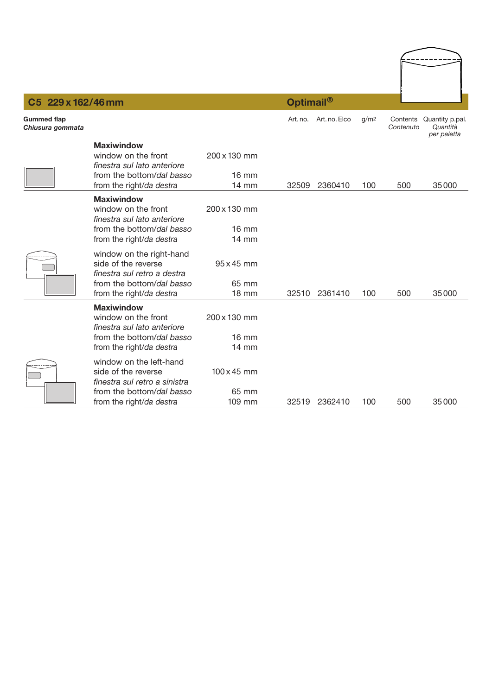| C5 229 x 162/46 mm                     |                                                                                                                                          |                                                    | Optimail <sup>®</sup> |                        |                  |           |                                                     |
|----------------------------------------|------------------------------------------------------------------------------------------------------------------------------------------|----------------------------------------------------|-----------------------|------------------------|------------------|-----------|-----------------------------------------------------|
| <b>Gummed flap</b><br>Chiusura gommata |                                                                                                                                          |                                                    |                       | Art. no. Art. no. Elco | g/m <sup>2</sup> | Contenuto | Contents Quantity p.pal.<br>Quantità<br>per paletta |
|                                        | <b>Maxiwindow</b><br>window on the front<br>finestra sul lato anteriore<br>from the bottom/dal basso                                     | 200 x 130 mm<br><b>16 mm</b>                       |                       |                        |                  |           |                                                     |
|                                        | from the right/da destra                                                                                                                 | 14 mm                                              | 32509                 | 2360410                | 100              | 500       | 35000                                               |
|                                        | <b>Maxiwindow</b><br>window on the front<br>finestra sul lato anteriore<br>from the bottom/dal basso<br>from the right/da destra         | 200 x 130 mm<br>$16 \text{ mm}$<br>$14 \text{ mm}$ |                       |                        |                  |           |                                                     |
|                                        | window on the right-hand<br>side of the reverse<br>finestra sul retro a destra<br>from the bottom/dal basso<br>from the right/da destra  | $95 \times 45$ mm<br>65 mm<br><b>18 mm</b>         | 32510                 | 2361410                | 100              | 500       | 35000                                               |
|                                        | <b>Maxiwindow</b><br>window on the front<br>finestra sul lato anteriore<br>from the bottom/dal basso<br>from the right/da destra         | 200 x 130 mm<br>$16 \text{ mm}$<br>$14 \text{ mm}$ |                       |                        |                  |           |                                                     |
|                                        | window on the left-hand<br>side of the reverse<br>finestra sul retro a sinistra<br>from the bottom/dal basso<br>from the right/da destra | $100 \times 45$ mm<br>65 mm<br>109 mm              | 32519                 | 2362410                | 100              | 500       | 35000                                               |

 $\leftarrow$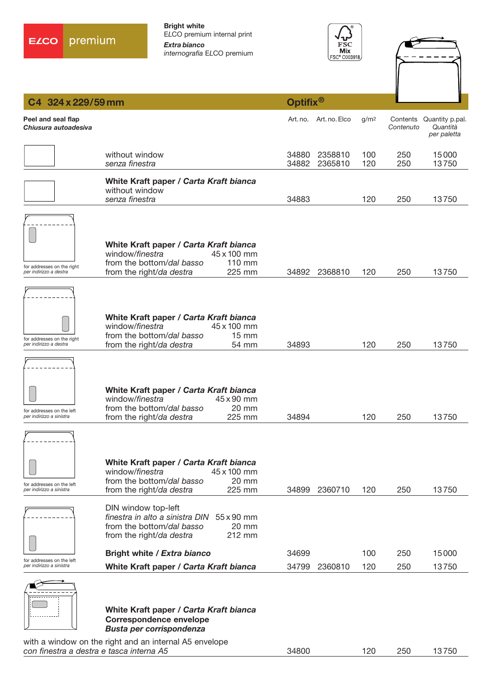





| C4 324 x 229/59 mm                                    |                                                                                                                                                                                                          | Optifix <sup>®</sup>                 |                  |                       |                                            |
|-------------------------------------------------------|----------------------------------------------------------------------------------------------------------------------------------------------------------------------------------------------------------|--------------------------------------|------------------|-----------------------|--------------------------------------------|
| Peel and seal flap<br>Chiusura autoadesiva            |                                                                                                                                                                                                          | Art. no. Art. no. Elco               | g/m <sup>2</sup> | Contents<br>Contenuto | Quantity p.pal.<br>Quantità<br>per paletta |
|                                                       | without window<br>senza finestra                                                                                                                                                                         | 34880<br>2358810<br>34882<br>2365810 | 100<br>120       | 250<br>250            | 15000<br>13750                             |
|                                                       | White Kraft paper / Carta Kraft bianca<br>without window<br>senza finestra                                                                                                                               | 34883                                | 120              | 250                   | 13750                                      |
|                                                       | White Kraft paper / Carta Kraft bianca<br>45 x 100 mm<br>window/finestra                                                                                                                                 |                                      |                  |                       |                                            |
| for addresses on the right<br>per indirizzo a destra  | from the bottom/dal basso<br>$110$ mm<br>225 mm<br>from the right/da destra                                                                                                                              | 34892 2368810                        | 120              | 250                   | 13750                                      |
| for addresses on the right                            | White Kraft paper / Carta Kraft bianca<br>window/finestra<br>45 x 100 mm<br>from the bottom/dal basso<br>$15 \text{ mm}$                                                                                 |                                      |                  |                       |                                            |
| per indirizzo a destra                                | from the right/da destra<br>54 mm                                                                                                                                                                        | 34893                                | 120              | 250                   | 13750                                      |
| for addresses on the left<br>per indirizzo a sinistra | White Kraft paper / Carta Kraft bianca<br>window/finestra<br>45 x 90 mm<br>from the bottom/dal basso<br>20 mm<br>from the right/da destra<br>225 mm                                                      | 34894                                | 120              | 250                   | 13750                                      |
|                                                       |                                                                                                                                                                                                          |                                      |                  |                       |                                            |
| for addresses on the left<br>per indirizzo a sinistra | White Kraft paper / Carta Kraft bianca<br>window/finestra<br>45 x 100 mm<br>20 mm<br>from the bottom/dal basso<br>225 mm<br>from the right/da destra                                                     | 2360710<br>34899                     | 120              | 250                   | 13750                                      |
|                                                       | DIN window top-left<br>finestra in alto a sinistra DIN 55 x 90 mm<br>from the bottom/dal basso<br>20 mm<br>212 mm<br>from the right/da destra                                                            |                                      |                  |                       |                                            |
| for addresses on the left                             | Bright white / Extra bianco                                                                                                                                                                              | 34699                                | 100              | 250                   | 15000                                      |
| per indirizzo a sinistra                              | White Kraft paper / Carta Kraft bianca<br>White Kraft paper / Carta Kraft bianca<br><b>Correspondence envelope</b><br>Busta per corrispondenza<br>with a window on the right and an internal A5 envelope | 34799<br>2360810                     | 120              | 250                   | 13750                                      |
| con finestra a destra e tasca interna A5              |                                                                                                                                                                                                          | 34800                                | 120              | 250                   | 13750                                      |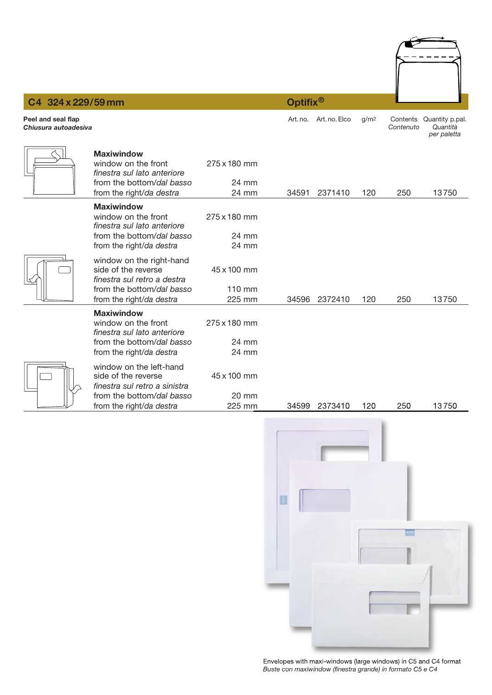

Art.no. Art.no. Elco g/m2 Contents Quantity p.pal.

### **C4 324 x 229/59 mm Optifix®**

**Peel and seal flap**

| Chiusura autoadesiva |                                                                                                                                          |                                 |       |         |     | Contenuto | Quantità<br>per paletta |
|----------------------|------------------------------------------------------------------------------------------------------------------------------------------|---------------------------------|-------|---------|-----|-----------|-------------------------|
|                      | <b>Maxiwindow</b><br>window on the front<br>finestra sul lato anteriore<br>from the bottom/dal basso<br>from the right/da destra         | 275 x 180 mm<br>24 mm<br>24 mm  | 34591 | 2371410 | 120 | 250       | 13750                   |
|                      | <b>Maxiwindow</b><br>window on the front<br>finestra sul lato anteriore<br>from the bottom/dal basso<br>from the right/da destra         | 275 x 180 mm<br>24 mm<br>24 mm  |       |         |     |           |                         |
|                      | window on the right-hand<br>side of the reverse<br>finestra sul retro a destra<br>from the bottom/dal basso<br>from the right/da destra  | 45 x 100 mm<br>110 mm<br>225 mm | 34596 | 2372410 | 120 | 250       | 13750                   |
|                      | <b>Maxiwindow</b><br>window on the front<br>finestra sul lato anteriore<br>from the bottom/dal basso<br>from the right/da destra         | 275 x 180 mm<br>24 mm<br>24 mm  |       |         |     |           |                         |
|                      | window on the left-hand<br>side of the reverse<br>finestra sul retro a sinistra<br>from the bottom/dal basso<br>from the right/da destra | 45 x 100 mm<br>20 mm<br>225 mm  | 34599 | 2373410 | 120 | 250       | 13750                   |



Envelopes with maxi-windows (large windows) in C5 and C4 format *Buste con maxiwindow (finestra grande) in formato C5 e C4*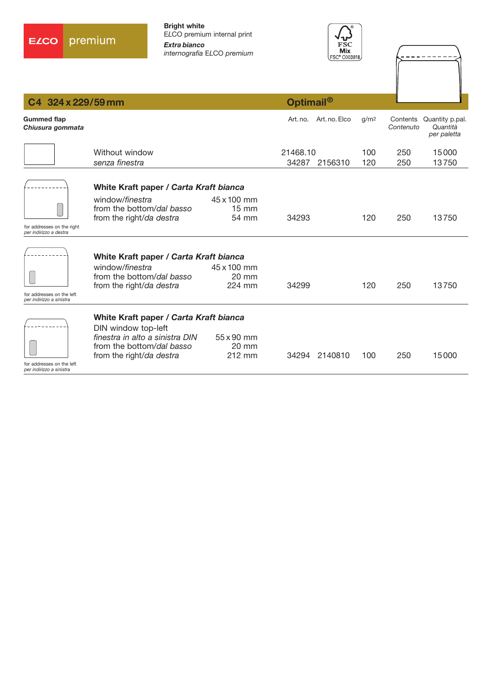



| C4 324 x 229/59 mm                                    |                                                                          |                                          | Optimail <sup>®</sup> |                        |                  |                       |                                            |
|-------------------------------------------------------|--------------------------------------------------------------------------|------------------------------------------|-----------------------|------------------------|------------------|-----------------------|--------------------------------------------|
| <b>Gummed flap</b><br>Chiusura gommata                |                                                                          |                                          |                       | Art. no. Art. no. Elco | q/m <sup>2</sup> | Contents<br>Contenuto | Quantity p.pal.<br>Quantità<br>per paletta |
|                                                       | Without window<br>senza finestra                                         |                                          | 21468.10<br>34287     | 2156310                | 100<br>120       | 250<br>250            | 15000<br>13750                             |
|                                                       | White Kraft paper / Carta Kraft bianca                                   |                                          |                       |                        |                  |                       |                                            |
|                                                       | window/finestra<br>from the bottom/dal basso<br>from the right/da destra | 45 x 100 mm<br>$15 \text{ mm}$<br>54 mm  | 34293                 |                        | 120              | 250                   | 13750                                      |
| for addresses on the right<br>per indirizzo a destra  |                                                                          |                                          |                       |                        |                  |                       |                                            |
|                                                       | White Kraft paper / Carta Kraft bianca                                   |                                          |                       |                        |                  |                       |                                            |
|                                                       | window/finestra<br>from the bottom/dal basso<br>from the right/da destra | 45 x 100 mm<br>$20 \text{ mm}$<br>224 mm | 34299                 |                        | 120              | 250                   | 13750                                      |
| for addresses on the left<br>per indirizzo a sinistra |                                                                          |                                          |                       |                        |                  |                       |                                            |
|                                                       | White Kraft paper / Carta Kraft bianca<br>DIN window top-left            |                                          |                       |                        |                  |                       |                                            |
|                                                       | finestra in alto a sinistra DIN<br>from the bottom/dal basso             | $55 \times 90$ mm<br>$20 \text{ mm}$     |                       |                        |                  |                       |                                            |
| for addresses on the left                             | from the right/da destra                                                 | 212 mm                                   |                       | 34294 2140810          | 100              | 250                   | 15000                                      |

for addresses on the left *per indirizzo a sinistra*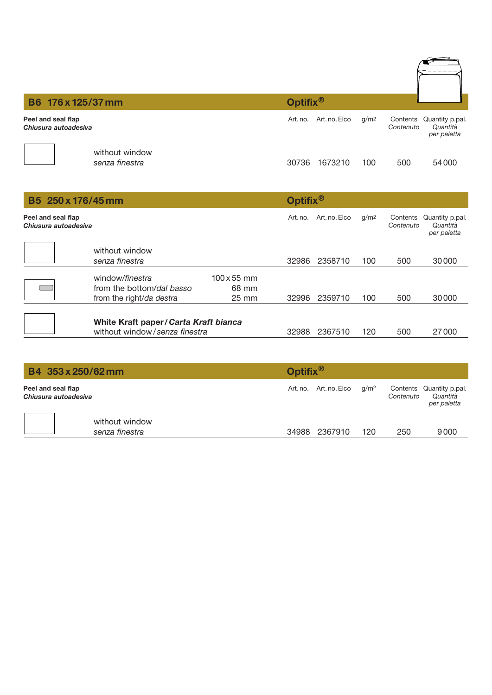| B6 176 x 125/37 mm                         | Optifix <sup>®</sup>                          |                                                                  |
|--------------------------------------------|-----------------------------------------------|------------------------------------------------------------------|
| Peel and seal flap<br>Chiusura autoadesiva | Art. no. Elco<br>Art. no.<br>g/m <sup>2</sup> | Contents Quantity p.pal.<br>Quantità<br>Contenuto<br>per paletta |
| without window<br>senza finestra           | 1673210<br>30736<br>100                       | 54000<br>500                                                     |

| B5 250 x 176/45 mm                         |                                                                          |                                                | Optifix <sup>®</sup> |               |                  |                       |                                            |  |
|--------------------------------------------|--------------------------------------------------------------------------|------------------------------------------------|----------------------|---------------|------------------|-----------------------|--------------------------------------------|--|
| Peel and seal flap<br>Chiusura autoadesiva |                                                                          |                                                | Art. no.             | Art. no. Elco | g/m <sup>2</sup> | Contents<br>Contenuto | Quantity p.pal.<br>Quantità<br>per paletta |  |
|                                            | without window<br>senza finestra                                         |                                                | 32986                | 2358710       | 100              | 500                   | 30000                                      |  |
|                                            | window/finestra<br>from the bottom/dal basso<br>from the right/da destra | $100 \times 55$ mm<br>68 mm<br>$25 \text{ mm}$ | 32996                | 2359710       | 100              | 500                   | 30000                                      |  |
|                                            | White Kraft paper / Carta Kraft bianca<br>without window/senza finestra  |                                                | 32988                | 2367510       | 120              | 500                   | 27000                                      |  |

| B4 353 x 250/62 mm                         |                                  | Optifix <sup>®</sup>   |                  |           |                                                     |  |
|--------------------------------------------|----------------------------------|------------------------|------------------|-----------|-----------------------------------------------------|--|
| Peel and seal flap<br>Chiusura autoadesiva |                                  | Art. no. Art. no. Elco | q/m <sup>2</sup> | Contenuto | Contents Quantity p.pal.<br>Quantità<br>per paletta |  |
|                                            | without window<br>senza finestra | 34988 2367910          | 120              | 250       | 9000                                                |  |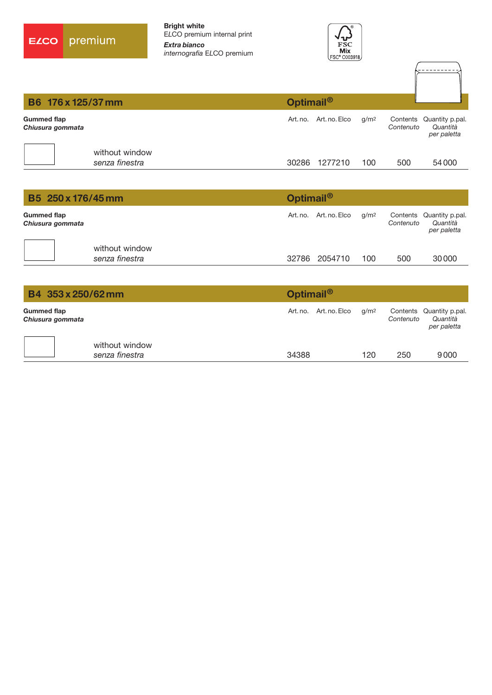



| B6 176 x 125/37 mm              |                                  | Optimail <sup>®</sup> |               |                  |           |                                                     |
|---------------------------------|----------------------------------|-----------------------|---------------|------------------|-----------|-----------------------------------------------------|
| Gummed flap<br>Chiusura gommata |                                  | Art. no.              | Art. no. Elco | g/m <sup>2</sup> | Contenuto | Contents Quantity p.pal.<br>Quantità<br>per paletta |
|                                 | without window<br>senza finestra | 30286                 | 1277210       | 100              | 500       | 54000                                               |

| B5 250 x 176/45 mm                     |                                  |       | Optimail <sup>®</sup>  |                  |           |                                                     |  |  |
|----------------------------------------|----------------------------------|-------|------------------------|------------------|-----------|-----------------------------------------------------|--|--|
| <b>Gummed flap</b><br>Chiusura gommata |                                  |       | Art. no. Art. no. Elco | q/m <sup>2</sup> | Contenuto | Contents Quantity p.pal.<br>Quantità<br>per paletta |  |  |
|                                        | without window<br>senza finestra | 32786 | 2054710                | 100              | 500       | 30000                                               |  |  |

| B4 353 x 250/62 mm                     |                                  |       | Optimail <sup>®</sup>  |                  |           |                                                     |  |  |
|----------------------------------------|----------------------------------|-------|------------------------|------------------|-----------|-----------------------------------------------------|--|--|
| <b>Gummed flap</b><br>Chiusura gommata |                                  |       | Art. no. Art. no. Elco | g/m <sup>2</sup> | Contenuto | Contents Quantity p.pal.<br>Quantità<br>per paletta |  |  |
|                                        | without window<br>senza finestra | 34388 |                        | 120              | 250       | 9000                                                |  |  |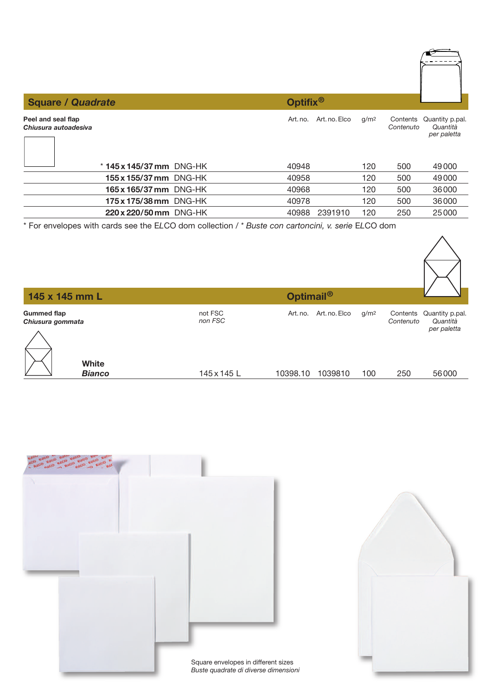| <b>Square / Quadrate</b>                   | Optifix <sup>®</sup>      |                  |                       |                                            |
|--------------------------------------------|---------------------------|------------------|-----------------------|--------------------------------------------|
| Peel and seal flap<br>Chiusura autoadesiva | Art. no. Elco<br>Art. no. | g/m <sup>2</sup> | Contents<br>Contenuto | Quantity p.pal.<br>Quantità<br>per paletta |
| $*$ 145 x 145/37 mm DNG-HK                 | 40948                     | 120              | 500                   | 49000                                      |
| 155 x 155/37 mm DNG-HK                     | 40958                     | 120              | 500                   | 49000                                      |
| 165 x 165/37 mm DNG-HK                     | 40968                     | 120              | 500                   | 36000                                      |
| 175 x 175/38 mm DNG-HK                     | 40978                     | 120              | 500                   | 36000                                      |
| 220 x 220/50 mm DNG-HK                     | 40988<br>2391910          | 120              | 250                   | 25000                                      |

\* For envelopes with cards see the E*L*CO dom collection / *\* Buste con cartoncini, v. serie* E*L*CO dom

| Optimail <sup>®</sup><br>145 x 145 mm L |                    |          |                                   |           |                                                     |
|-----------------------------------------|--------------------|----------|-----------------------------------|-----------|-----------------------------------------------------|
| <b>Gummed flap</b><br>Chiusura gommata  | not FSC<br>non FSC | Art. no. | Art. no. Elco<br>g/m <sup>2</sup> | Contenuto | Contents Quantity p.pal.<br>Quantità<br>per paletta |
| White<br><b>Bianco</b>                  | 145 x 145 L        | 10398.10 | 1039810<br>100                    | 250       | 56000                                               |